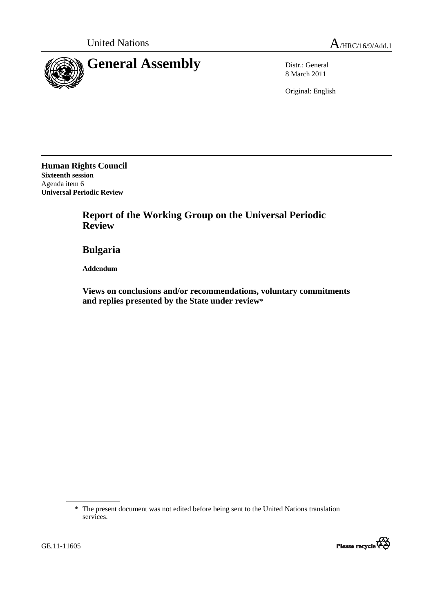



8 March 2011

Original: English

**Human Rights Council Sixteenth session**  Agenda item 6 **Universal Periodic Review** 

> **Report of the Working Group on the Universal Periodic Review**

 **Bulgaria** 

 **Addendum** 

 **Views on conclusions and/or recommendations, voluntary commitments and replies presented by the State under review**\*

<sup>\*</sup> The present document was not edited before being sent to the United Nations translation services.



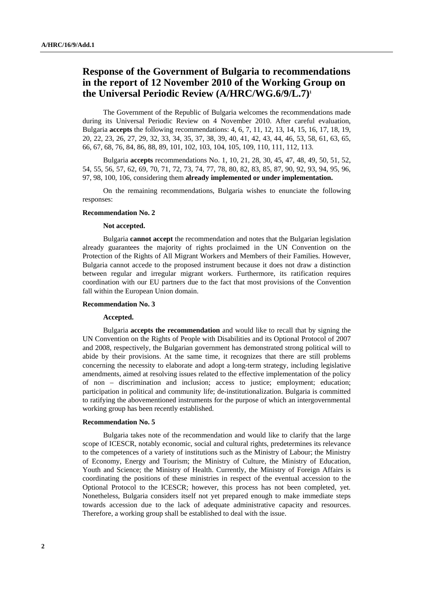# **Response of the Government of Bulgaria to recommendations in the report of 12 November 2010 of the Working Group on the Universal Periodic Review (A/HRC/WG.6/9/L.7)1**

The Government of the Republic of Bulgaria welcomes the recommendations made during its Universal Periodic Review on 4 November 2010. After careful evaluation, Bulgaria **accepts** the following recommendations: 4, 6, 7, 11, 12, 13, 14, 15, 16, 17, 18, 19, 20, 22, 23, 26, 27, 29, 32, 33, 34, 35, 37, 38, 39, 40, 41, 42, 43, 44, 46, 53, 58, 61, 63, 65, 66, 67, 68, 76, 84, 86, 88, 89, 101, 102, 103, 104, 105, 109, 110, 111, 112, 113.

Bulgaria **accepts** recommendations No. 1, 10, 21, 28, 30, 45, 47, 48, 49, 50, 51, 52, 54, 55, 56, 57, 62, 69, 70, 71, 72, 73, 74, 77, 78, 80, 82, 83, 85, 87, 90, 92, 93, 94, 95, 96, 97, 98, 100, 106, considering them **already implemented or under implementation.** 

On the remaining recommendations, Bulgaria wishes to enunciate the following responses:

# **Recommendation No. 2**

# **Not accepted.**

 Bulgaria **cannot accept** the recommendation and notes that the Bulgarian legislation already guarantees the majority of rights proclaimed in the UN Convention on the Protection of the Rights of All Migrant Workers and Members of their Families. However, Bulgaria cannot accede to the proposed instrument because it does not draw a distinction between regular and irregular migrant workers. Furthermore, its ratification requires coordination with our EU partners due to the fact that most provisions of the Convention fall within the European Union domain.

## **Recommendation No. 3**

#### **Accepted.**

Bulgaria **accepts the recommendation** and would like to recall that by signing the UN Convention on the Rights of People with Disabilities and its Optional Protocol of 2007 and 2008, respectively, the Bulgarian government has demonstrated strong political will to abide by their provisions. At the same time, it recognizes that there are still problems concerning the necessity to elaborate and adopt a long-term strategy, including legislative amendments, aimed at resolving issues related to the effective implementation of the policy of non – discrimination and inclusion; access to justice; employment; education; participation in political and community life; de-institutionalization. Bulgaria is committed to ratifying the abovementioned instruments for the purpose of which an intergovernmental working group has been recently established.

## **Recommendation No. 5**

Bulgaria takes note of the recommendation and would like to clarify that the large scope of ICESCR, notably economic, social and cultural rights, predetermines its relevance to the competences of a variety of institutions such as the Ministry of Labour; the Ministry of Economy, Energy and Tourism; the Ministry of Culture, the Ministry of Education, Youth and Science; the Ministry of Health. Currently, the Ministry of Foreign Affairs is coordinating the positions of these ministries in respect of the eventual accession to the Optional Protocol to the ICESCR; however, this process has not been completed, yet. Nonetheless, Bulgaria considers itself not yet prepared enough to make immediate steps towards accession due to the lack of adequate administrative capacity and resources. Therefore, a working group shall be established to deal with the issue.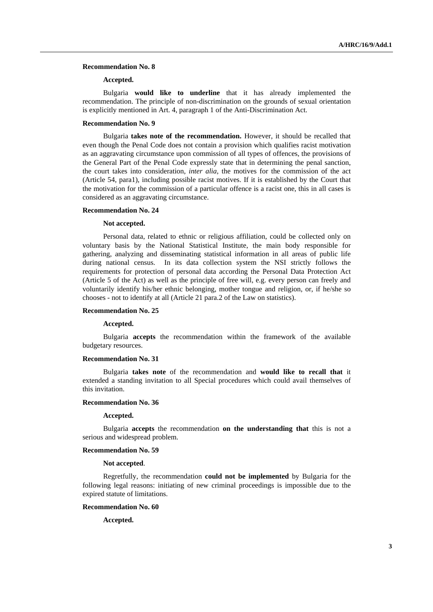## **Recommendation No. 8**

# **Accepted.**

 Bulgaria **would like to underline** that it has already implemented the recommendation. The principle of non-discrimination on the grounds of sexual orientation is explicitly mentioned in Art. 4, paragraph 1 of the Anti-Discrimination Act.

# **Recommendation No. 9**

Bulgaria **takes note of the recommendation.** However, it should be recalled that even though the Penal Code does not contain a provision which qualifies racist motivation as an aggravating circumstance upon commission of all types of offences, the provisions of the General Part of the Penal Code expressly state that in determining the penal sanction, the court takes into consideration, *inter alia*, the motives for the commission of the act (Article 54, para1), including possible racist motives. If it is established by the Court that the motivation for the commission of a particular offence is a racist one, this in all cases is considered as an aggravating circumstance.

# **Recommendation No. 24**

#### **Not accepted.**

Personal data, related to ethnic or religious affiliation, could be collected only on voluntary basis by the National Statistical Institute, the main body responsible for gathering, analyzing and disseminating statistical information in all areas of public life during national census. In its data collection system the NSI strictly follows the requirements for protection of personal data according the Personal Data Protection Act (Article 5 of the Act) as well as the principle of free will, e.g. every person can freely and voluntarily identify his/her ethnic belonging, mother tongue and religion, or, if he/she so chooses - not to identify at all (Article 21 para.2 of the Law on statistics).

#### **Recommendation No. 25**

## **Accepted.**

Bulgaria **accepts** the recommendation within the framework of the available budgetary resources.

#### **Recommendation No. 31**

Bulgaria **takes note** of the recommendation and **would like to recall that** it extended a standing invitation to all Special procedures which could avail themselves of this invitation.

# **Recommendation No. 36**

#### **Accepted.**

 Bulgaria **accepts** the recommendation **on the understanding that** this is not a serious and widespread problem.

#### **Recommendation No. 59**

## **Not accepted**.

 Regretfully, the recommendation **could not be implemented** by Bulgaria for the following legal reasons: initiating of new criminal proceedings is impossible due to the expired statute of limitations.

#### **Recommendation No. 60**

**Accepted.**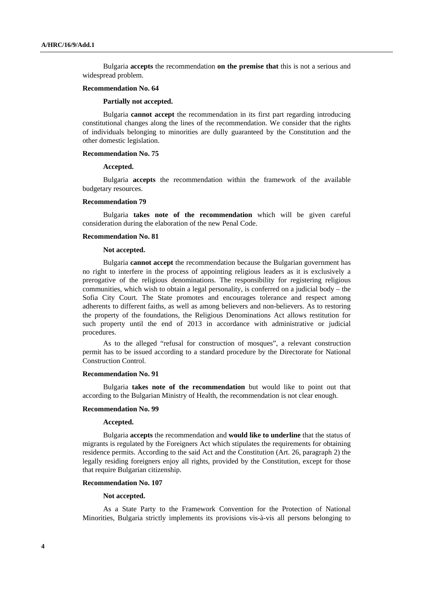Bulgaria **accepts** the recommendation **on the premise that** this is not a serious and widespread problem.

#### **Recommendation No. 64**

## **Partially not accepted.**

 Bulgaria **cannot accept** the recommendation in its first part regarding introducing constitutional changes along the lines of the recommendation. We consider that the rights of individuals belonging to minorities are dully guaranteed by the Constitution and the other domestic legislation.

#### **Recommendation No. 75**

# **Accepted.**

 Bulgaria **accepts** the recommendation within the framework of the available budgetary resources.

# **Recommendation 79**

Bulgaria **takes note of the recommendation** which will be given careful consideration during the elaboration of the new Penal Code.

# **Recommendation No. 81**

## **Not accepted.**

Bulgaria **cannot accept** the recommendation because the Bulgarian government has no right to interfere in the process of appointing religious leaders as it is exclusively a prerogative of the religious denominations. The responsibility for registering religious communities, which wish to obtain a legal personality, is conferred on a judicial body – the Sofia City Court. The State promotes and encourages tolerance and respect among adherents to different faiths, as well as among believers and non-believers. As to restoring the property of the foundations, the Religious Denominations Act allows restitution for such property until the end of 2013 in accordance with administrative or judicial procedures.

As to the alleged "refusal for construction of mosques", a relevant construction permit has to be issued according to a standard procedure by the Directorate for National Construction Control.

#### **Recommendation No. 91**

Bulgaria **takes note of the recommendation** but would like to point out that according to the Bulgarian Ministry of Health, the recommendation is not clear enough.

# **Recommendation No. 99**

# **Accepted.**

Bulgaria **accepts** the recommendation and **would like to underline** that the status of migrants is regulated by the Foreigners Act which stipulates the requirements for obtaining residence permits. According to the said Act and the Constitution (Art. 26, paragraph 2) the legally residing foreigners enjoy all rights, provided by the Constitution, except for those that require Bulgarian citizenship.

## **Recommendation No. 107**

## **Not accepted.**

As a State Party to the Framework Convention for the Protection of National Minorities, Bulgaria strictly implements its provisions vis-à-vis all persons belonging to